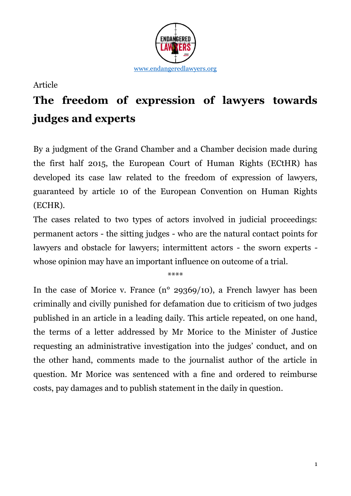

## Article

## **The freedom of expression of lawyers towards judges and experts**

By a judgment of the Grand Chamber and a Chamber decision made during the first half 2015, the European Court of Human Rights (ECtHR) has developed its case law related to the freedom of expression of lawyers, guaranteed by article 10 of the European Convention on Human Rights (ECHR).

The cases related to two types of actors involved in judicial proceedings: permanent actors - the sitting judges - who are the natural contact points for lawyers and obstacle for lawyers; intermittent actors - the sworn experts whose opinion may have an important influence on outcome of a trial.

\*\*\*\*

In the case of Morice v. France  $(n^{\circ} 29369/10)$ , a French lawyer has been criminally and civilly punished for defamation due to criticism of two judges published in an article in a leading daily. This article repeated, on one hand, the terms of a letter addressed by Mr Morice to the Minister of Justice requesting an administrative investigation into the judges' conduct, and on the other hand, comments made to the journalist author of the article in question. Mr Morice was sentenced with a fine and ordered to reimburse costs, pay damages and to publish statement in the daily in question.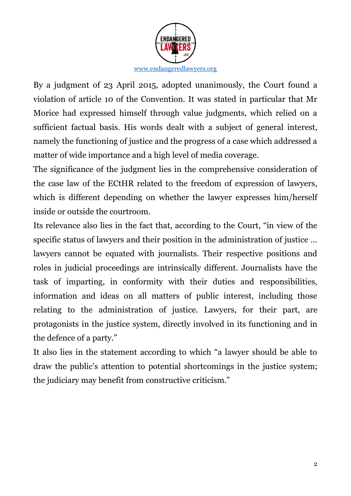

By a judgment of 23 April 2015, adopted unanimously, the Court found a violation of article 10 of the Convention. It was stated in particular that Mr Morice had expressed himself through value judgments, which relied on a sufficient factual basis. His words dealt with a subject of general interest, namely the functioning of justice and the progress of a case which addressed a matter of wide importance and a high level of media coverage.

The significance of the judgment lies in the comprehensive consideration of the case law of the ECtHR related to the freedom of expression of lawyers, which is different depending on whether the lawyer expresses him/herself inside or outside the courtroom.

Its relevance also lies in the fact that, according to the Court, "in view of the specific status of lawyers and their position in the administration of justice … lawyers cannot be equated with journalists. Their respective positions and roles in judicial proceedings are intrinsically different. Journalists have the task of imparting, in conformity with their duties and responsibilities, information and ideas on all matters of public interest, including those relating to the administration of justice. Lawyers, for their part, are protagonists in the justice system, directly involved in its functioning and in the defence of a party."

It also lies in the statement according to which "a lawyer should be able to draw the public's attention to potential shortcomings in the justice system; the judiciary may benefit from constructive criticism."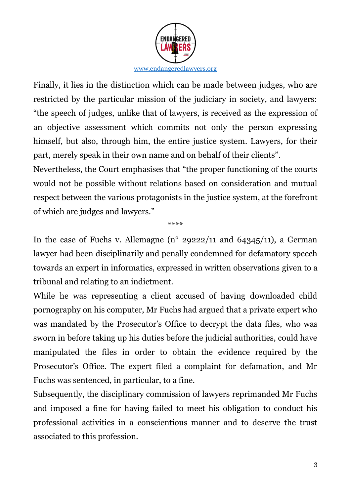

Finally, it lies in the distinction which can be made between judges, who are restricted by the particular mission of the judiciary in society, and lawyers: "the speech of judges, unlike that of lawyers, is received as the expression of an objective assessment which commits not only the person expressing himself, but also, through him, the entire justice system. Lawyers, for their part, merely speak in their own name and on behalf of their clients".

Nevertheless, the Court emphasises that "the proper functioning of the courts would not be possible without relations based on consideration and mutual respect between the various protagonists in the justice system, at the forefront of which are judges and lawyers."

\*\*\*\*

In the case of Fuchs v. Allemagne (n° 29222/11 and 64345/11), a German lawyer had been disciplinarily and penally condemned for defamatory speech towards an expert in informatics, expressed in written observations given to a tribunal and relating to an indictment.

While he was representing a client accused of having downloaded child pornography on his computer, Mr Fuchs had argued that a private expert who was mandated by the Prosecutor's Office to decrypt the data files, who was sworn in before taking up his duties before the judicial authorities, could have manipulated the files in order to obtain the evidence required by the Prosecutor's Office. The expert filed a complaint for defamation, and Mr Fuchs was sentenced, in particular, to a fine.

Subsequently, the disciplinary commission of lawyers reprimanded Mr Fuchs and imposed a fine for having failed to meet his obligation to conduct his professional activities in a conscientious manner and to deserve the trust associated to this profession.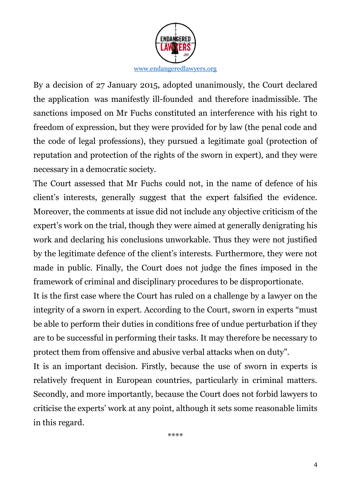

By a decision of 27 January 2015, adopted unanimously, the Court declared the application was manifestly ill-founded and therefore inadmissible. The sanctions imposed on Mr Fuchs constituted an interference with his right to freedom of expression, but they were provided for by law (the penal code and the code of legal professions), they pursued a legitimate goal (protection of reputation and protection of the rights of the sworn in expert), and they were necessary in a democratic society.

The Court assessed that Mr Fuchs could not, in the name of defence of his client's interests, generally suggest that the expert falsified the evidence. Moreover, the comments at issue did not include any objective criticism of the expert's work on the trial, though they were aimed at generally denigrating his work and declaring his conclusions unworkable. Thus they were not justified by the legitimate defence of the client's interests. Furthermore, they were not made in public. Finally, the Court does not judge the fines imposed in the framework of criminal and disciplinary procedures to be disproportionate.

It is the first case where the Court has ruled on a challenge by a lawyer on the integrity of a sworn in expert. According to the Court, sworn in experts "must be able to perform their duties in conditions free of undue perturbation if they are to be successful in performing their tasks. It may therefore be necessary to protect them from offensive and abusive verbal attacks when on duty".

It is an important decision. Firstly, because the use of sworn in experts is relatively frequent in European countries, particularly in criminal matters. Secondly, and more importantly, because the Court does not forbid lawyers to criticise the experts' work at any point, although it sets some reasonable limits in this regard.

\*\*\*\*